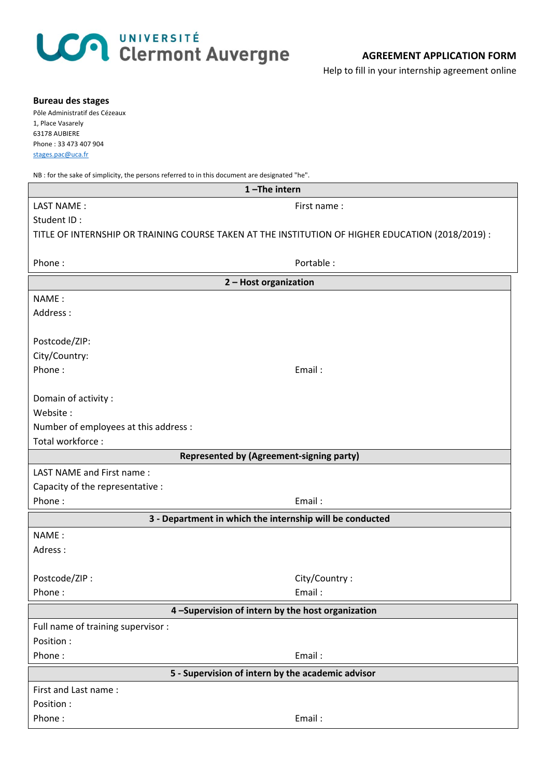## LCA UNIVERSITÉ<br>Clermont Auvergne

Help to fill in your internship agreement online

| <b>Bureau des stages</b><br>Pôle Administratif des Cézeaux<br>1, Place Vasarely<br>63178 AUBIERE<br>Phone: 33 473 407 904<br>stages.pac@uca.fr |               |
|------------------------------------------------------------------------------------------------------------------------------------------------|---------------|
| NB : for the sake of simplicity, the persons referred to in this document are designated "he".<br>1-The intern                                 |               |
| LAST NAME:                                                                                                                                     | First name:   |
| Student ID:                                                                                                                                    |               |
| TITLE OF INTERNSHIP OR TRAINING COURSE TAKEN AT THE INSTITUTION OF HIGHER EDUCATION (2018/2019) :                                              |               |
|                                                                                                                                                |               |
| Phone:                                                                                                                                         | Portable:     |
| 2 - Host organization                                                                                                                          |               |
| NAME:                                                                                                                                          |               |
| Address:                                                                                                                                       |               |
|                                                                                                                                                |               |
| Postcode/ZIP:                                                                                                                                  |               |
| City/Country:                                                                                                                                  |               |
| Phone:                                                                                                                                         | Email:        |
|                                                                                                                                                |               |
| Domain of activity :                                                                                                                           |               |
| Website:                                                                                                                                       |               |
| Number of employees at this address :                                                                                                          |               |
| Total workforce:                                                                                                                               |               |
| <b>Represented by (Agreement-signing party)</b>                                                                                                |               |
| LAST NAME and First name:                                                                                                                      |               |
| Capacity of the representative :                                                                                                               |               |
| Phone:                                                                                                                                         | Email:        |
| 3 - Department in which the internship will be conducted                                                                                       |               |
| NAME:                                                                                                                                          |               |
| Adress:                                                                                                                                        |               |
|                                                                                                                                                |               |
| Postcode/ZIP:                                                                                                                                  | City/Country: |
| Phone:                                                                                                                                         | Email:        |
| 4-Supervision of intern by the host organization                                                                                               |               |
| Full name of training supervisor :                                                                                                             |               |
| Position:                                                                                                                                      |               |
| Phone:                                                                                                                                         | Email:        |
| 5 - Supervision of intern by the academic advisor                                                                                              |               |
| First and Last name:                                                                                                                           |               |
| Position :                                                                                                                                     |               |
| Phone:                                                                                                                                         | Email:        |
|                                                                                                                                                |               |